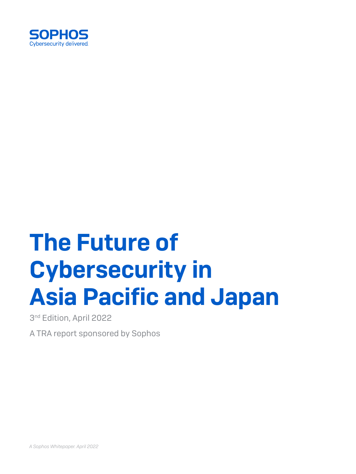

# The Future of Cybersecurity in Asia Pacific and Japan

3<sup>nd</sup> Edition, April 2022

A TRA report sponsored by Sophos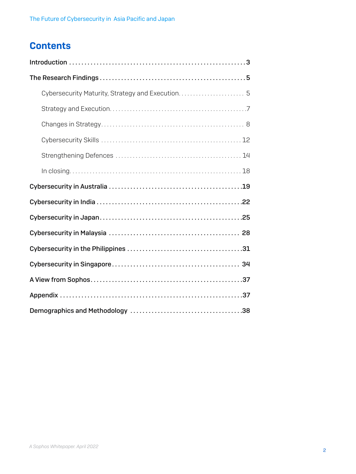# **Contents**

| In closing. 18 |
|----------------|
|                |
|                |
|                |
|                |
|                |
|                |
|                |
|                |
|                |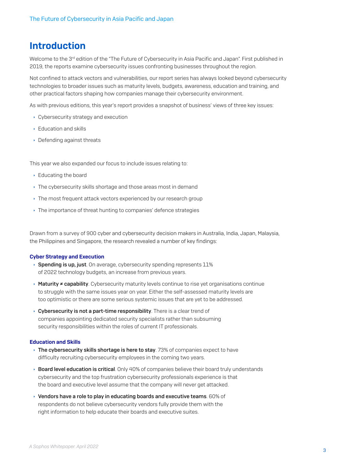# <span id="page-2-0"></span>Introduction

Welcome to the 3<sup>rd</sup> edition of the "The Future of Cybersecurity in Asia Pacific and Japan". First published in 2019, the reports examine cybersecurity issues confronting businesses throughout the region.

Not confined to attack vectors and vulnerabilities, our report series has always looked beyond cybersecurity technologies to broader issues such as maturity levels, budgets, awareness, education and training, and other practical factors shaping how companies manage their cybersecurity environment.

As with previous editions, this year's report provides a snapshot of business' views of three key issues:

- **Cybersecurity strategy and execution**
- $\cdot$  Education and skills
- $\cdot$  Defending against threats

This year we also expanded our focus to include issues relating to:

- $\cdot$  Educating the board
- $\cdot$  The cybersecurity skills shortage and those areas most in demand
- In the most frequent attack vectors experienced by our research group
- $\cdot$  The importance of threat hunting to companies' defence strategies

Drawn from a survey of 900 cyber and cybersecurity decision makers in Australia, India, Japan, Malaysia, the Philippines and Singapore, the research revealed a number of key findings:

#### Cyber Strategy and Execution

- $\rightarrow$  Spending is up, just. On average, cybersecurity spending represents 11% of 2022 technology budgets, an increase from previous years.
- **Maturity ≠ capability**. Cybersecurity maturity levels continue to rise yet organisations continue to struggle with the same issues year on year. Either the self-assessed maturity levels are too optimistic or there are some serious systemic issues that are yet to be addressed.
- $\rightarrow$  Cybersecurity is not a part-time responsibility. There is a clear trend of companies appointing dedicated security specialists rather than subsuming security responsibilities within the roles of current IT professionals.

#### Education and Skills

- $\rightarrow$  The cybersecurity skills shortage is here to stay. 73% of companies expect to have difficulty recruiting cybersecurity employees in the coming two years.
- **Board level education is critical**. Only 40% of companies believe their board truly understands cybersecurity and the top frustration cybersecurity professionals experience is that the board and executive level assume that the company will never get attacked.
- $\rightarrow$  Vendors have a role to play in educating boards and executive teams. 60% of respondents do not believe cybersecurity vendors fully provide them with the right information to help educate their boards and executive suites.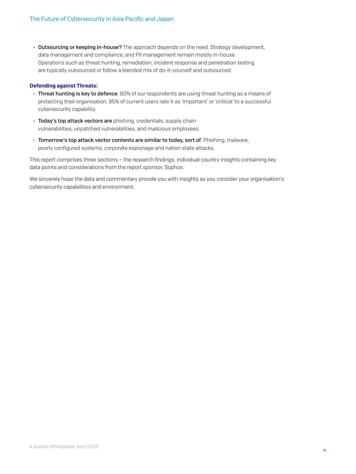**Outsourcing or keeping in-house?** The approach depends on the need. Strategy development, data management and compliance, and PII management remain mostly in-house. Operations such as threat hunting, remediation, incident response and penetration testing are typically outsourced or follow a blended mix of do-it-yourself and outsourced.

#### Defending against Threats:

- **Threat hunting is key to defence**. 90% of our respondents are using threat hunting as a means of protecting their organisation. 85% of current users rate it as 'important' or 'critical' to a successful cybersecurity capability.
- **Today's top attack vectors are** phishing, credentials, supply chain vulnerabilities, unpatched vulnerabilities, and malicious employees.
- $\rightarrow$  Tomorrow's top attack vector contents are similar to today, sort of. Phishing, malware, poorly configured systems, corporate espionage and nation state attacks.

This report comprises three sections – the research findings, individual country insights containing key data points and considerations from the report sponsor, Sophos.

We sincerely hope the data and commentary provide you with insights as you consider your organisation's cybersecurity capabilities and environment.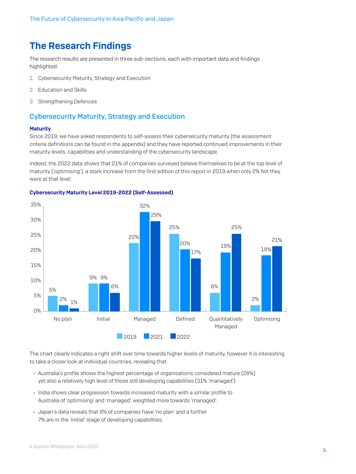# <span id="page-4-0"></span>The Research Findings

The research results are presented in three sub-sections, each with important data and findings highlighted:

- 1. Cybersecurity Maturity, Strategy and Execution
- 2. Education and Skills
- 3. Strengthening Defences

### Cybersecurity Maturity, Strategy and Execution

#### **Maturity**

Since 2019, we have asked respondents to self-assess their cybersecurity maturity (the assessment criteria definitions can be found in the appendix) and they have reported continued improvements in their maturity levels, capabilities and understanding of the cybersecurity landscape.

Indeed, the 2022 data shows that 21% of companies surveyed believe themselves to be at the top level of maturity ('optimising'), a stark increase from the first edition of this report in 2019 when only 2% felt they were at that level.



#### Cybersecurity Maturity Level 2019-2022 (Self-Assessed)

The chart clearly indicates a right shift over time towards higher levels of maturity, however it is interesting to take a closer look at individual countries, revealing that:

- **Australia's profile shows the highest percentage of organisations considered mature (28%)** yet also a relatively high level of those still developing capabilities (31% 'managed').
- $\cdot$  India shows clear progression towards increased maturity with a similar profile to Australia of 'optimising' and 'managed', weighted more towards 'managed'.
- **I** Japan's data reveals that 9% of companies have 'no plan' and a further 7% are in the 'initial' stage of developing capabilities.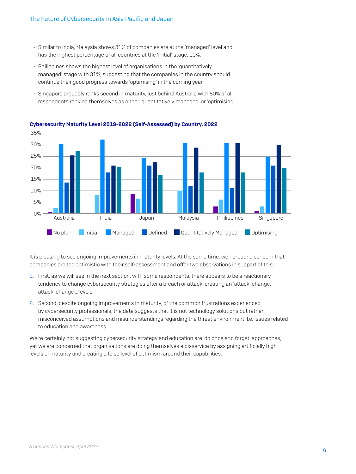- Ì Similar to India, Malaysia shows 31% of companies are at the 'managed' level and has the highest percentage of all countries at the 'initial' stage, 10%.
- $\rightarrow$  Philippines shows the highest level of organisations in the 'quantitatively managed' stage with 31%, suggesting that the companies in the country should continue their good progress towards 'optimising' in the coming year.
- ▶ Singapore arguably ranks second in maturity, just behind Australia with 50% of all respondents ranking themselves as either 'quantitatively managed' or 'optimising'.



Cybersecurity Maturity Level 2019-2022 (Self-Assessed) by Country, 2022

It is pleasing to see ongoing improvements in maturity levels. At the same time, we harbour a concern that companies are too optimistic with their self-assessment and offer two observations in support of this:

- 1. First, as we will see in the next section, with some respondents, there appears to be a reactionary tendency to change cybersecurity strategies after a breach or attack, creating an 'attack, change, attack, change …' cycle.
- 2. Second, despite ongoing improvements in maturity, of the common frustrations experienced by cybersecurity professionals, the data suggests that it is not technology solutions but rather misconceived assumptions and misunderstandings regarding the threat environment. I.e. issues related to education and awareness.

We're certainly not suggesting cybersecurity strategy and education are 'do once and forget' approaches, yet we are concerned that organisations are doing themselves a disservice by assigning artificially high levels of maturity and creating a false level of optimism around their capabilities.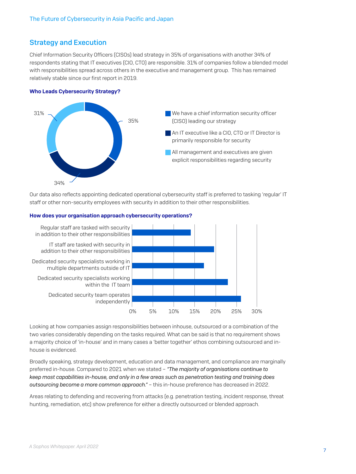# <span id="page-6-0"></span>Strategy and Execution

Chief Information Security Officers (CISOs) lead strategy in 35% of organisations with another 34% of respondents stating that IT executives (CIO, CTO) are responsible. 31% of companies follow a blended model with responsibilities spread across others in the executive and management group. This has remained relatively stable since our first report in 2019.

#### Who Leads Cybersecurity Strategy?



Our data also reflects appointing dedicated operational cybersecurity staff is preferred to tasking 'regular' IT staff or other non-security employees with security in addition to their other responsibilities.



#### How does your organisation approach cybersecurity operations?

Looking at how companies assign responsibilities between inhouse, outsourced or a combination of the two varies considerably depending on the tasks required. What can be said is that no requirement shows a majority choice of 'in-house' and in many cases a 'better together' ethos combining outsourced and inhouse is evidenced.

Broadly speaking, strategy development, education and data management, and compliance are marginally preferred in-house. Compared to 2021 when we stated – *"The majority of organisations continue to keep most capabilities in-house, and only in a few areas such as penetration testing and training does outsourcing become a more common approach."* – this in-house preference has decreased in 2022.

Areas relating to defending and recovering from attacks (e.g. penetration testing, incident response, threat hunting, remediation, etc) show preference for either a directly outsourced or blended approach.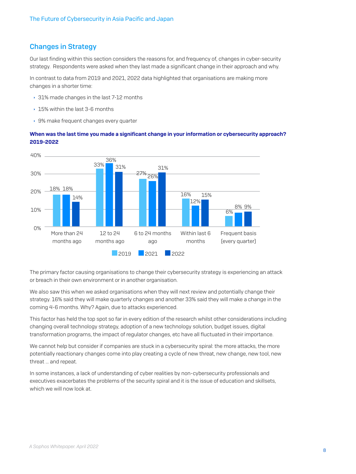# <span id="page-7-0"></span>Changes in Strategy

Our last finding within this section considers the reasons for, and frequency of, changes in cyber-security strategy. Respondents were asked when they last made a significant change in their approach and why.

In contrast to data from 2019 and 2021, 2022 data highlighted that organisations are making more changes in a shorter time:

- ▸ 31% made changes in the last 7-12 months
- $\cdot$  15% within the last 3-6 months
- ▸ 9% make frequent changes every quarter

#### When was the last time you made a significant change in your information or cybersecurity approach? 2019-2022



The primary factor causing organisations to change their cybersecurity strategy is experiencing an attack or breach in their own environment or in another organisation.

We also saw this when we asked organisations when they will next review and potentially change their strategy. 16% said they will make quarterly changes and another 33% said they will make a change in the coming 4-6 months. Why? Again, due to attacks experienced.

This factor has held the top spot so far in every edition of the research whilst other considerations including changing overall technology strategy, adoption of a new technology solution, budget issues, digital transformation programs, the impact of regulator changes, etc have all fluctuated in their importance.

We cannot help but consider if companies are stuck in a cybersecurity spiral: the more attacks, the more potentially reactionary changes come into play creating a cycle of new threat, new change, new tool, new threat … and repeat.

In some instances, a lack of understanding of cyber realities by non-cybersecurity professionals and executives exacerbates the problems of the security spiral and it is the issue of education and skillsets, which we will now look at.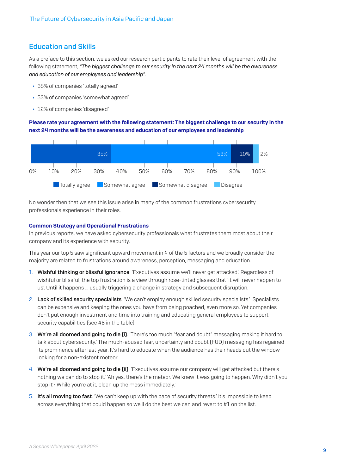## Education and Skills

As a preface to this section, we asked our research participants to rate their level of agreement with the following statement, *"The biggest challenge to our security in the next 24 months will be the awareness and education of our employees and leadership"*.

- ▸ 35% of companies 'totally agreed'
- **53% of companies 'somewhat agreed'**
- ▶ 12% of companies 'disagreed'

Please rate your agreement with the following statement: The biggest challenge to our security in the next 24 months will be the awareness and education of our employees and leadership



No wonder then that we see this issue arise in many of the common frustrations cybersecurity professionals experience in their roles.

#### Common Strategy and Operational Frustrations

In previous reports, we have asked cybersecurity professionals what frustrates them most about their company and its experience with security.

This year our top 5 saw significant upward movement in 4 of the 5 factors and we broadly consider the majority are related to frustrations around awareness, perception, messaging and education.

- 1. Wishful thinking or blissful ignorance. 'Executives assume we'll never get attacked'. Regardless of wishful or blissful, the top frustration is a view through rose-tinted glasses that 'it will never happen to us'. Until it happens … usually triggering a change in strategy and subsequent disruption.
- 2. Lack of skilled security specialists. 'We can't employ enough skilled security specialists.' Specialists can be expensive and keeping the ones you have from being poached, even more so. Yet companies don't put enough investment and time into training and educating general employees to support security capabilities (see #6 in the table).
- 3. We're all doomed and going to die (i). 'There's too much "fear and doubt" messaging making it hard to talk about cybersecurity.' The much-abused fear, uncertainty and doubt (FUD) messaging has regained its prominence after last year. It's hard to educate when the audience has their heads out the window looking for a non-existent meteor.
- 4. We're all doomed and going to die (ii). 'Executives assume our company will get attacked but there's nothing we can do to stop it.' 'Ah yes, there's the meteor. We knew it was going to happen. Why didn't you stop it? While you're at it, clean up the mess immediately.'
- 5. It's all moving too fast. 'We can't keep up with the pace of security threats.' It's impossible to keep across everything that could happen so we'll do the best we can and revert to #1 on the list.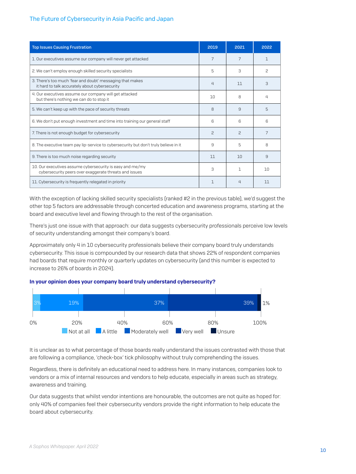#### The Future of Cybersecurity in Asia Pacific and Japan

| <b>Top Issues Causing Frustration</b>                                                                               | 2019         | 2021           | 2022 |
|---------------------------------------------------------------------------------------------------------------------|--------------|----------------|------|
| 1. Our executives assume our company will never get attacked                                                        | 7            | 7              |      |
| 2. We can't employ enough skilled security specialists                                                              | 5            | 3              | 2    |
| 3. There's too much 'fear and doubt' messaging that makes<br>it hard to talk accurately about cybersecurity         | 4            | 11             | 3    |
| 4. Our executives assume our company will get attacked<br>but there's nothing we can do to stop it                  | 10           | 8              | Д    |
| 5. We can't keep up with the pace of security threats                                                               | 8            | 9              | 5    |
| 6. We don't put enough investment and time into training our general staff                                          | 6            | <sup>6</sup>   | ഒ    |
| 7. There is not enough budget for cybersecurity                                                                     | <sup>2</sup> | $\mathcal{P}$  |      |
| 8. The executive team pay lip-service to cybersecurity but don't truly believe in it                                | 9            | 5              | 8    |
| 9. There is too much noise regarding security                                                                       | 11           | 10             | 9    |
| 10. Our executives assume cybersecurity is easy and me/my<br>cybersecurity peers over exaggerate threats and issues | 3            | п.             | 10   |
| 11. Cybersecurity is frequently relegated in priority                                                               | 1            | $\overline{4}$ | 11   |

With the exception of lacking skilled security specialists (ranked #2 in the previous table), we'd suggest the other top 5 factors are addressable through concerted education and awareness programs, starting at the board and executive level and flowing through to the rest of the organisation.

There's just one issue with that approach: our data suggests cybersecurity professionals perceive low levels of security understanding amongst their company's board.

Approximately only 4 in 10 cybersecurity professionals believe their company board truly understands cybersecurity. This issue is compounded by our research data that shows 22% of respondent companies had boards that require monthly or quarterly updates on cybersecurity (and this number is expected to increase to 26% of boards in 2024).





It is unclear as to what percentage of those boards really understand the issues contrasted with those that are following a compliance, 'check-box' tick philosophy without truly comprehending the issues.

Regardless, there is definitely an educational need to address here. In many instances, companies look to vendors or a mix of internal resources and vendors to help educate, especially in areas such as strategy, awareness and training.

Our data suggests that whilst vendor intentions are honourable, the outcomes are not quite as hoped for: only 40% of companies feel their cybersecurity vendors provide the right information to help educate the board about cybersecurity.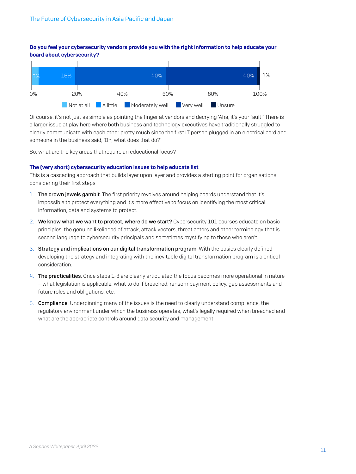#### Do you feel your cybersecurity vendors provide you with the right information to help educate your board about cybersecurity?



Of course, it's not just as simple as pointing the finger at vendors and decrying 'Aha, it's your fault!' There is a larger issue at play here where both business and technology executives have traditionally struggled to clearly communicate with each other pretty much since the first IT person plugged in an electrical cord and someone in the business said, 'Oh, what does that do?'

So, what are the key areas that require an educational focus?

#### The (very short) cybersecurity education issues to help educate list

This is a cascading approach that builds layer upon layer and provides a starting point for organisations considering their first steps.

- 1. The crown jewels gambit. The first priority revolves around helping boards understand that it's impossible to protect everything and it's more effective to focus on identifying the most critical information, data and systems to protect.
- 2. We know what we want to protect, where do we start? Cybersecurity 101 courses educate on basic principles, the genuine likelihood of attack, attack vectors, threat actors and other terminology that is second language to cybersecurity principals and sometimes mystifying to those who aren't.
- 3. Strategy and implications on our digital transformation program. With the basics clearly defined, developing the strategy and integrating with the inevitable digital transformation program is a critical consideration.
- 4. The practicalities. Once steps 1-3 are clearly articulated the focus becomes more operational in nature – what legislation is applicable, what to do if breached, ransom payment policy, gap assessments and future roles and obligations, etc.
- 5. Compliance. Underpinning many of the issues is the need to clearly understand compliance, the regulatory environment under which the business operates, what's legally required when breached and what are the appropriate controls around data security and management.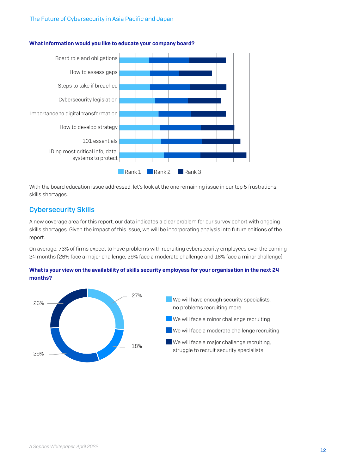#### <span id="page-11-0"></span>The Future of Cybersecurity in Asia Pacific and Japan



#### What information would you like to educate your company board?

With the board education issue addressed, let's look at the one remaining issue in our top 5 frustrations, skills shortages.

# Cybersecurity Skills

A new coverage area for this report, our data indicates a clear problem for our survey cohort with ongoing skills shortages. Given the impact of this issue, we will be incorporating analysis into future editions of the report.

On average, 73% of firms expect to have problems with recruiting cybersecurity employees over the coming 24 months (26% face a major challenge, 29% face a moderate challenge and 18% face a minor challenge).



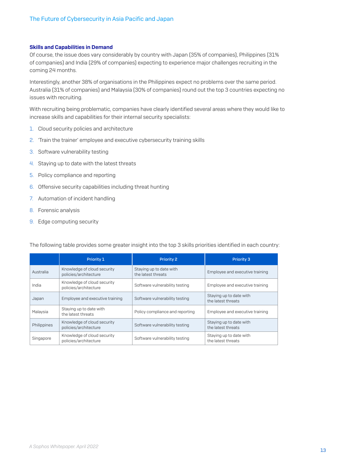#### Skills and Capabilities in Demand

Of course, the issue does vary considerably by country with Japan (35% of companies), Philippines (31% of companies) and India (29% of companies) expecting to experience major challenges recruiting in the coming 24 months.

Interestingly, another 38% of organisations in the Philippines expect no problems over the same period. Australia (31% of companies) and Malaysia (30% of companies) round out the top 3 countries expecting no issues with recruiting.

With recruiting being problematic, companies have clearly identified several areas where they would like to increase skills and capabilities for their internal security specialists:

- 1. Cloud security policies and architecture
- 2. 'Train the trainer' employee and executive cybersecurity training skills
- 3. Software vulnerability testing
- 4. Staying up to date with the latest threats
- 5. Policy compliance and reporting
- 6. Offensive security capabilities including threat hunting
- 7. Automation of incident handling
- 8. Forensic analysis
- 9. Edge computing security

|             | Priority 1                                           | <b>Priority 2</b>                             | Priority 3                                    |
|-------------|------------------------------------------------------|-----------------------------------------------|-----------------------------------------------|
| Australia   | Knowledge of cloud security<br>policies/architecture | Staying up to date with<br>the latest threats | Employee and executive training               |
| India       | Knowledge of cloud security<br>policies/architecture | Software vulnerability testing                | Employee and executive training               |
| Japan       | Employee and executive training                      | Software vulnerability testing                | Staying up to date with<br>the latest threats |
| Malaysia    | Staying up to date with<br>the latest threats        | Policy compliance and reporting               | Employee and executive training               |
| Philippines | Knowledge of cloud security<br>policies/architecture | Software vulnerability testing                | Staying up to date with<br>the latest threats |
| Singapore   | Knowledge of cloud security<br>policies/architecture | Software vulnerability testing                | Staying up to date with<br>the latest threats |

The following table provides some greater insight into the top 3 skills priorities identified in each country: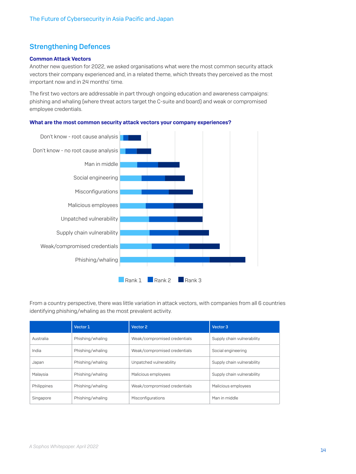# <span id="page-13-0"></span>Strengthening Defences

#### Common Attack Vectors

Another new question for 2022, we asked organisations what were the most common security attack vectors their company experienced and, in a related theme, which threats they perceived as the most important now and in 24 months' time.

The first two vectors are addressable in part through ongoing education and awareness campaigns: phishing and whaling (where threat actors target the C-suite and board) and weak or compromised employee credentials.



What are the most common security attack vectors your company experiences?

From a country perspective, there was little variation in attack vectors, with companies from all 6 countries identifying phishing/whaling as the most prevalent activity.

|             | Vector 1         | Vector 2                     | Vector 3                   |
|-------------|------------------|------------------------------|----------------------------|
| Australia   | Phishing/whaling | Weak/compromised credentials | Supply chain vulnerability |
| India       | Phishing/whaling | Weak/compromised credentials | Social engineering         |
| Japan       | Phishing/whaling | Unpatched vulnerability      | Supply chain vulnerability |
| Malaysia    | Phishing/whaling | Malicious employees          | Supply chain vulnerability |
| Philippines | Phishing/whaling | Weak/compromised credentials | Malicious employees        |
| Singapore   | Phishing/whaling | Misconfigurations            | Man in middle              |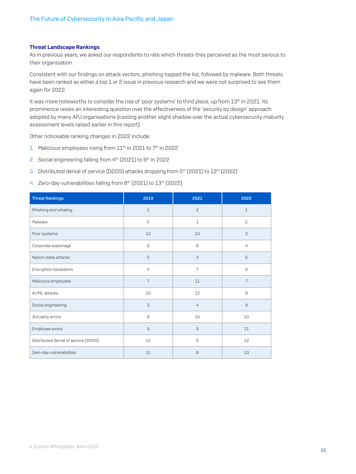#### Threat Landscape Rankings

As in previous years, we asked our respondents to rate which threats they perceived as the most serious to their organisation.

Consistent with our findings on attack vectors, phishing topped the list, followed by malware. Both threats have been ranked as either a top 1 or 2 issue in previous research and we were not surprised to see them again for 2022.

It was more noteworthy to consider the rise of 'poor systems' to third place, up from 13<sup>th</sup> in 2021. Its prominence raises an interesting question over the effectiveness of the 'security by design' approach adopted by many APJ organisations (casting another slight shadow over the actual cybersecurity maturity assessment levels raised earlier in this report).

Other noticeable ranking changes in 2022 include:

- 1. Malicious employees rising from 11<sup>th</sup> in 2021 to 7<sup>th</sup> in 2022
- 2. Social engineering falling from 4<sup>th</sup> (2021) to 9<sup>th</sup> in 2022
- 3. Distributed denial of service (DDOS) attacks dropping from 5<sup>th</sup> (2021) to 12<sup>th</sup> (2022)
- 4. Zero-day vulnerabilities falling from 8th (2021) to 13th (2022)

| <b>Threat Rankings</b>               | 2019           | 2021           | 2022           |
|--------------------------------------|----------------|----------------|----------------|
| Phishing and whaling                 | $\mathbf{1}$   | $\mathbf{2}$   | $\mathbf{1}$   |
| Malware                              | $\mathbf{2}$   | $\mathbf{1}$   | $\mathbf{2}$   |
| Poor systems                         | 13             | 13             | 3              |
| Corporate espionage                  | 6              | 6              | $\overline{4}$ |
| Nation state attacks                 | 5              | 3              | 5              |
| Encryption backdoors                 | $\overline{4}$ | $\overline{7}$ | 6              |
| Malicious employees                  | $\overline{7}$ | 11             | $\overline{7}$ |
| AI/ML attacks                        | 10             | 12             | 8              |
| Social engineering                   | 3              | $\overline{4}$ | 9              |
| 3rd party errors                     | 8              | 10             | 10             |
| Employee errors                      | $\overline{9}$ | $\hbox{9}$     | 11             |
| Distributed denial of service (DDOS) | 12             | 5              | 12             |
| Zero-day vulnerabilities             | 11             | 8              | 13             |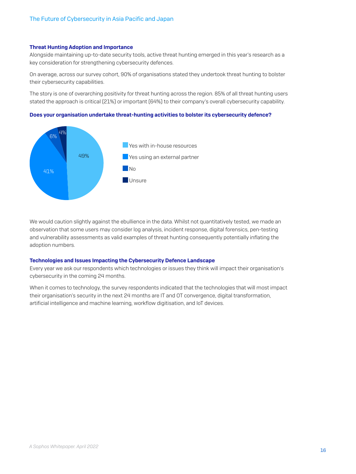#### Threat Hunting Adoption and Importance

Alongside maintaining up-to-date security tools, active threat hunting emerged in this year's research as a key consideration for strengthening cybersecurity defences.

On average, across our survey cohort, 90% of organisations stated they undertook threat hunting to bolster their cybersecurity capabilities.

The story is one of overarching positivity for threat hunting across the region. 85% of all threat hunting users stated the approach is critical (21%) or important (64%) to their company's overall cybersecurity capability.

#### Does your organisation undertake threat-hunting activities to bolster its cybersecurity defence?



We would caution slightly against the ebullience in the data. Whilst not quantitatively tested, we made an observation that some users may consider log analysis, incident response, digital forensics, pen-testing and vulnerability assessments as valid examples of threat hunting consequently potentially inflating the adoption numbers.

#### Technologies and Issues Impacting the Cybersecurity Defence Landscape

Every year we ask our respondents which technologies or issues they think will impact their organisation's cybersecurity in the coming 24 months.

When it comes to technology, the survey respondents indicated that the technologies that will most impact their organisation's security in the next 24 months are IT and OT convergence, digital transformation, artificial intelligence and machine learning, workflow digitisation, and IoT devices.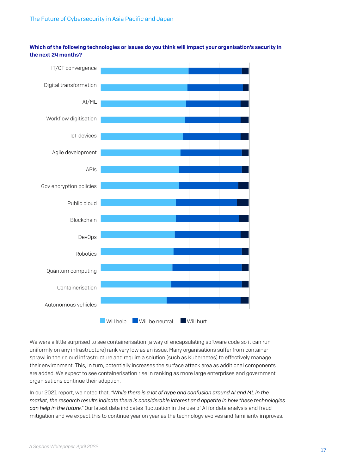Which of the following technologies or issues do you think will impact your organisation's security in the next 24 months?



We were a little surprised to see containerisation (a way of encapsulating software code so it can run uniformly on any infrastructure) rank very low as an issue. Many organisations suffer from container sprawl in their cloud infrastructure and require a solution (such as Kubernetes) to effectively manage their environment. This, in turn, potentially increases the surface attack area as additional components are added. We expect to see containerisation rise in ranking as more large enterprises and government organisations continue their adoption.

In our 2021 report, we noted that, *"While there is a lot of hype and confusion around AI and ML in the market, the research results indicate there is considerable interest and appetite in how these technologies can help in the future."* Our latest data indicates fluctuation in the use of AI for data analysis and fraud mitigation and we expect this to continue year on year as the technology evolves and familiarity improves.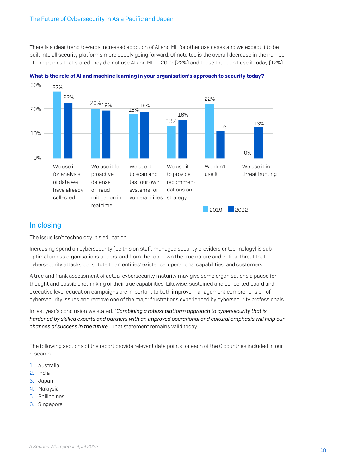<span id="page-17-0"></span>There is a clear trend towards increased adoption of AI and ML for other use cases and we expect it to be built into all security platforms more deeply going forward. Of note too is the overall decrease in the number of companies that stated they did not use AI and ML in 2019 (22%) and those that don't use it today (12%).





### In closing

The issue isn't technology. It's education.

Increasing spend on cybersecurity (be this on staff, managed security providers or technology) is suboptimal unless organisations understand from the top down the true nature and critical threat that cybersecurity attacks constitute to an entities' existence, operational capabilities, and customers.

A true and frank assessment of actual cybersecurity maturity may give some organisations a pause for thought and possible rethinking of their true capabilities. Likewise, sustained and concerted board and executive level education campaigns are important to both improve management comprehension of cybersecurity issues and remove one of the major frustrations experienced by cybersecurity professionals.

In last year's conclusion we stated, *"Combining a robust platform approach to cybersecurity that is hardened by skilled experts and partners with an improved operational and cultural emphasis will help our chances of success in the future."* That statement remains valid today.

The following sections of the report provide relevant data points for each of the 6 countries included in our research:

- 1. Australia
- 2. India
- 3. Japan
- 4. Malaysia
- 5. Philippines
- 6. Singapore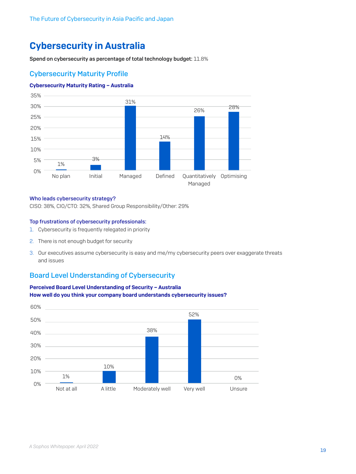# <span id="page-18-0"></span>Cybersecurity in Australia

Spend on cybersecurity as percentage of total technology budget: 11.8%

# Cybersecurity Maturity Profile

#### Cybersecurity Maturity Rating – Australia



#### Who leads cybersecurity strategy?

CISO: 38%, CIO/CTO: 32%, Shared Group Responsibility/Other: 29%

#### Top frustrations of cybersecurity professionals:

- 1. Cybersecurity is frequently relegated in priority
- 2. There is not enough budget for security
- 3. Our executives assume cybersecurity is easy and me/my cybersecurity peers over exaggerate threats and issues

# Board Level Understanding of Cybersecurity



### Perceived Board Level Understanding of Security – Australia How well do you think your company board understands cybersecurity issues?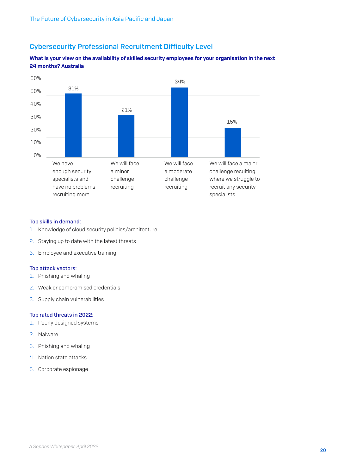# Cybersecurity Professional Recruitment Difficulty Level

#### What is your view on the availability of skilled security employees for your organisation in the next 24 months? Australia



#### Top skills in demand:

- 1. Knowledge of cloud security policies/architecture
- 2. Staying up to date with the latest threats
- 3. Employee and executive training

#### Top attack vectors:

- 1. Phishing and whaling
- 2. Weak or compromised credentials
- 3. Supply chain vulnerabilities

#### Top rated threats in 2022:

- 1. Poorly designed systems
- 2. Malware
- 3. Phishing and whaling
- 4. Nation state attacks
- 5. Corporate espionage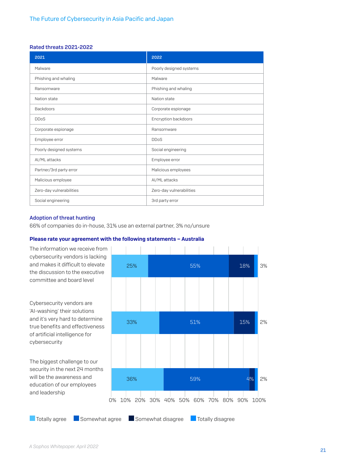#### Rated threats 2021-2022

| 2021                     | 2022                     |
|--------------------------|--------------------------|
| Malware                  | Poorly designed systems  |
| Phishing and whaling     | Malware                  |
| Ransomware               | Phishing and whaling     |
| Nation state             | Nation state             |
| Backdoors                | Corporate espionage      |
| <b>DDoS</b>              | Encryption backdoors     |
| Corporate espionage      | Ransomware               |
| Employee error           | <b>DDoS</b>              |
| Poorly designed systems  | Social engineering       |
| AI/ML attacks            | Employee error           |
| Partner/3rd party error  | Malicious employees      |
| Malicious employee       | AI/ML attacks            |
| Zero-day vulnerabilities | Zero-day vulnerabilities |
| Social engineering       | 3rd party error          |

#### Adoption of threat hunting

66% of companies do in-house, 31% use an external partner, 3% no/unsure

#### Please rate your agreement with the following statements – Australia

The information we receive from cybersecurity vendors is lacking and makes it difficult to elevate the discussion to the executive committee and board level

Cybersecurity vendors are 'AI-washing' their solutions and it's very hard to determine true benefits and effectiveness of artificial intelligence for cybersecurity

The biggest challenge to our security in the next 24 months will be the awareness and education of our employees and leadership

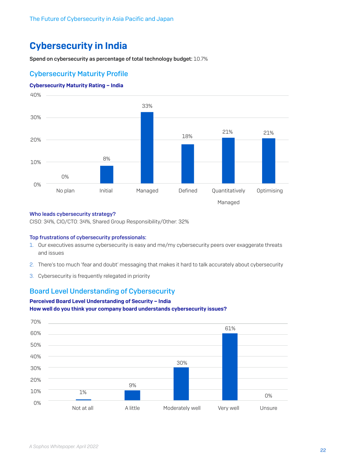# <span id="page-21-0"></span>Cybersecurity in India

Spend on cybersecurity as percentage of total technology budget: 10.7%

# Cybersecurity Maturity Profile

#### Cybersecurity Maturity Rating – India



#### Who leads cybersecurity strategy?

CISO: 34%, CIO/CTO: 34%, Shared Group Responsibility/Other: 32%

#### Top frustrations of cybersecurity professionals:

- 1. Our executives assume cybersecurity is easy and me/my cybersecurity peers over exaggerate threats and issues
- 2. There's too much 'fear and doubt' messaging that makes it hard to talk accurately about cybersecurity
- 3. Cybersecurity is frequently relegated in priority

### Board Level Understanding of Cybersecurity

#### Perceived Board Level Understanding of Security – India How well do you think your company board understands cybersecurity issues?

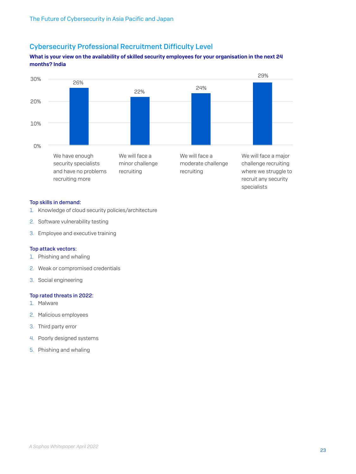# Cybersecurity Professional Recruitment Difficulty Level

#### What is your view on the availability of skilled security employees for your organisation in the next 24 months? India



#### Top skills in demand:

- 1. Knowledge of cloud security policies/architecture
- 2. Software vulnerability testing
- 3. Employee and executive training

#### Top attack vectors:

- 1. Phishing and whaling
- 2. Weak or compromised credentials
- 3. Social engineering

#### Top rated threats in 2022:

- 1. Malware
- 2. Malicious employees
- 3. Third party error
- 4. Poorly designed systems
- 5. Phishing and whaling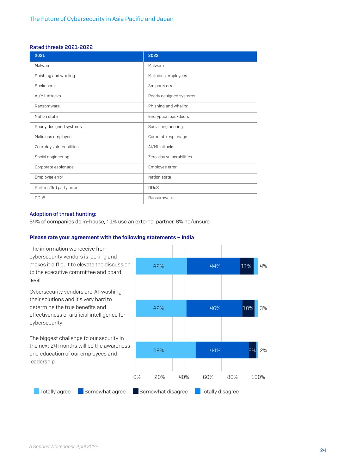#### Rated threats 2021-2022

| 2021                     | 2022                     |
|--------------------------|--------------------------|
| Malware                  | Malware                  |
| Phishing and whaling     | Malicious employees      |
| <b>Backdoors</b>         | 3rd party error          |
| AI/ML attacks            | Poorly designed systems  |
| Ransomware               | Phishing and whaling     |
| Nation state             | Encryption backdoors     |
| Poorly designed systems  | Social engineering       |
| Malicious employee       | Corporate espionage      |
| Zero-day vulnerabilities | AI/ML attacks            |
| Social engineering       | Zero-day vulnerabilities |
| Corporate espionage      | Employee error           |
| Employee error           | Nation state             |
| Partner/3rd party error  | <b>DDoS</b>              |
| <b>DDoS</b>              | Ransomware               |

#### Adoption of threat hunting:

54% of companies do in-house, 41% use an external partner, 6% no/unsure

#### Please rate your agreement with the following statements – India

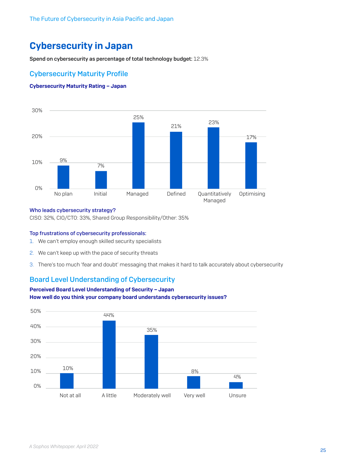# <span id="page-24-0"></span>Cybersecurity in Japan

Spend on cybersecurity as percentage of total technology budget: 12.3%

## Cybersecurity Maturity Profile

#### Cybersecurity Maturity Rating – Japan



#### Who leads cybersecurity strategy?

CISO: 32%, CIO/CTO: 33%, Shared Group Responsibility/Other: 35%

#### Top frustrations of cybersecurity professionals:

- 1. We can't employ enough skilled security specialists
- 2. We can't keep up with the pace of security threats
- 3. There's too much 'fear and doubt' messaging that makes it hard to talk accurately about cybersecurity

## Board Level Understanding of Cybersecurity



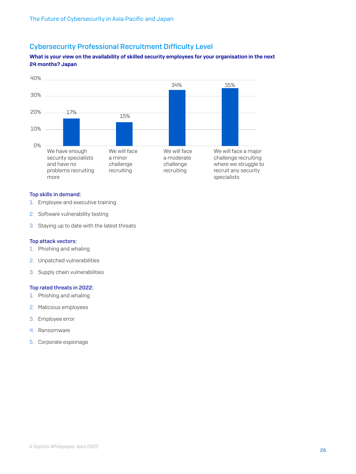# Cybersecurity Professional Recruitment Difficulty Level

#### What is your view on the availability of skilled security employees for your organisation in the next 24 months? Japan



#### Top skills in demand:

- 1. Employee and executive training
- 2. Software vulnerability testing
- 3. Staying up to date with the latest threats

#### Top attack vectors:

- 1. Phishing and whaling
- 2. Unpatched vulnerabilities
- 3. Supply chain vulnerabilities

#### Top rated threats in 2022:

- 1. Phishing and whaling
- 2. Malicious employees
- 3. Employee error
- 4. Ransomware
- 5. Corporate espionage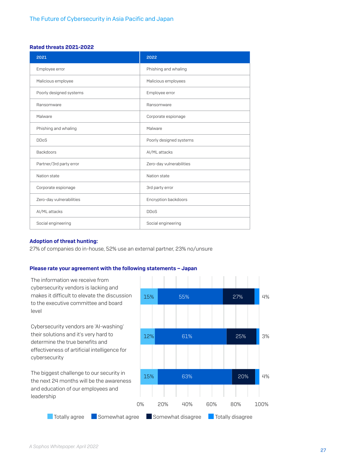#### Rated threats 2021-2022

| 2021                     | 2022                     |
|--------------------------|--------------------------|
| Employee error           | Phishing and whaling     |
| Malicious employee       | Malicious employees      |
| Poorly designed systems  | Employee error           |
| Ransomware               | Ransomware               |
| Malware                  | Corporate espionage      |
| Phishing and whaling     | Malware                  |
| <b>DDoS</b>              | Poorly designed systems  |
| <b>Backdoors</b>         | AI/ML attacks            |
| Partner/3rd party error  | Zero-day vulnerabilities |
| Nation state             | Nation state             |
| Corporate espionage      | 3rd party error          |
| Zero-day vulnerabilities | Encryption backdoors     |
| AI/ML attacks            | <b>DDoS</b>              |
| Social engineering       | Social engineering       |

#### Adoption of threat hunting:

27% of companies do in-house, 52% use an external partner, 23% no/unsure

#### Please rate your agreement with the following statements – Japan

The information we receive from cybersecurity vendors is lacking and makes it difficult to elevate the discussion to the executive committee and board level

Cybersecurity vendors are 'AI-washing' their solutions and it's very hard to determine the true benefits and effectiveness of artificial intelligence for cybersecurity

The biggest challenge to our security in the next 24 months will be the awareness and education of our employees and leadership

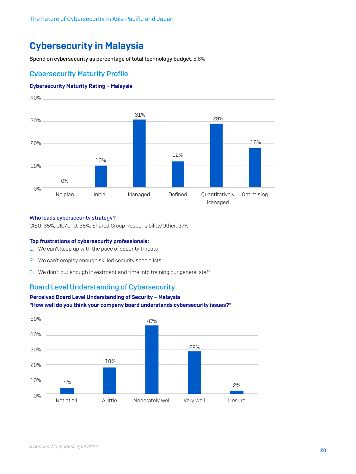# <span id="page-27-0"></span>Cybersecurity in Malaysia

Spend on cybersecurity as percentage of total technology budget: 8.6%

# Cybersecurity Maturity Profile

#### Cybersecurity Maturity Rating – Malaysia



#### Who leads cybersecurity strategy?

CISO: 35%, CIO/CTO: 38%, Shared Group Responsibility/Other: 27%

#### Top frustrations of cybersecurity professionals:

- 1. We can't keep up with the pace of security threats
- 2. We can't employ enough skilled security specialists
- 3. We don't put enough investment and time into training our general staff

### Board Level Understanding of Cybersecurity

### Perceived Board Level Understanding of Security – Malaysia "How well do you think your company board understands cybersecurity issues?"

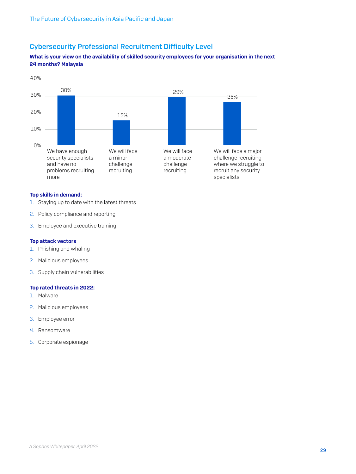# Cybersecurity Professional Recruitment Difficulty Level

#### What is your view on the availability of skilled security employees for your organisation in the next 24 months? Malaysia



#### Top skills in demand:

- 1. Staying up to date with the latest threats
- 2. Policy compliance and reporting
- 3. Employee and executive training

#### Top attack vectors

- 1. Phishing and whaling
- 2. Malicious employees
- 3. Supply chain vulnerabilities

#### Top rated threats in 2022:

- 1. Malware
- 2. Malicious employees
- 3. Employee error
- 4. Ransomware
- 5. Corporate espionage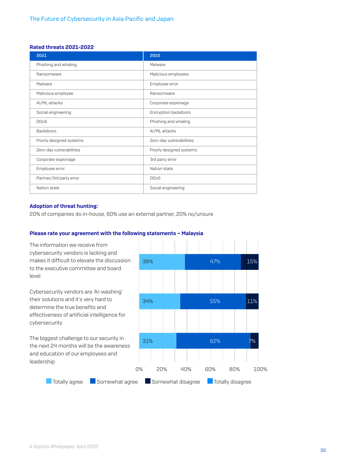#### Rated threats 2021-2022

| 2021                     | 2022                     |
|--------------------------|--------------------------|
| Phishing and whaling     | Malware                  |
| Ransomware               | Malicious employees      |
| Malware                  | Employee error           |
| Malicious employee       | Ransomware               |
| AI/ML attacks            | Corporate espionage      |
| Social engineering       | Encryption backdoors     |
| <b>DDoS</b>              | Phishing and whaling     |
| <b>Backdoors</b>         | AI/ML attacks            |
| Poorly designed systems  | Zero-day vulnerabilities |
| Zero-day vulnerabilities | Poorly designed systems  |
| Corporate espionage      | 3rd party error          |
| Employee error           | Nation state             |
| Partner/3rd party error  | <b>DDoS</b>              |
| Nation state             | Social engineering       |

#### Adoption of threat hunting:

20% of companies do in-house, 60% use an external partner, 20% no/unsure

#### Please rate your agreement with the following statements – Malaysia

The information we receive from cybersecurity vendors is lacking and makes it difficult to elevate the discussion to the executive committee and board level

Cybersecurity vendors are 'AI-washing' their solutions and it's very hard to determine the true benefits and effectiveness of artificial intelligence for cybersecurity

The biggest challenge to our security in the next 24 months will be the awareness and education of our employees and leadership

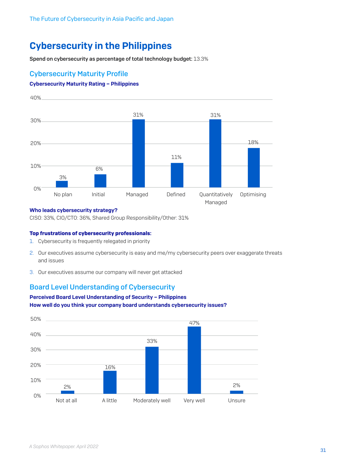# <span id="page-30-0"></span>Cybersecurity in the Philippines

Spend on cybersecurity as percentage of total technology budget: 13.3%

# Cybersecurity Maturity Profile

#### Cybersecurity Maturity Rating – Philippines



#### Who leads cybersecurity strategy?

CISO: 33%, CIO/CTO: 36%, Shared Group Responsibility/Other: 31%

#### Top frustrations of cybersecurity professionals:

- 1. Cybersecurity is frequently relegated in priority
- 2. Our executives assume cybersecurity is easy and me/my cybersecurity peers over exaggerate threats and issues
- 3. Our executives assume our company will never get attacked

### Board Level Understanding of Cybersecurity

### Perceived Board Level Understanding of Security – Philippines How well do you think your company board understands cybersecurity issues?

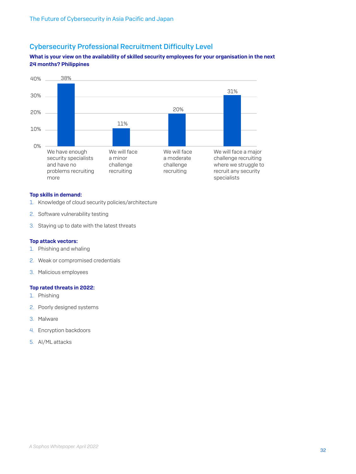# Cybersecurity Professional Recruitment Difficulty Level

#### What is your view on the availability of skilled security employees for your organisation in the next 24 months? Philippines



#### Top skills in demand:

- 1. Knowledge of cloud security policies/architecture
- 2. Software vulnerability testing
- 3. Staying up to date with the latest threats

#### Top attack vectors:

- 1. Phishing and whaling
- 2. Weak or compromised credentials
- 3. Malicious employees

#### Top rated threats in 2022:

- 1. Phishing
- 2. Poorly designed systems
- 3. Malware
- 4. Encryption backdoors
- 5. AI/ML attacks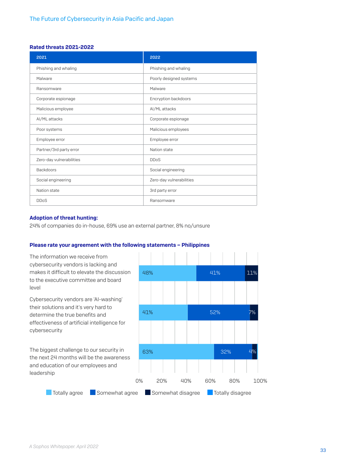#### Rated threats 2021-2022

| 2021                     | 2022                     |
|--------------------------|--------------------------|
| Phishing and whaling     | Phishing and whaling     |
| Malware                  | Poorly designed systems  |
| Ransomware               | Malware                  |
| Corporate espionage      | Encryption backdoors     |
| Malicious employee       | AI/ML attacks            |
| AI/ML attacks            | Corporate espionage      |
| Poor systems             | Malicious employees      |
| Employee error           | Employee error           |
| Partner/3rd party error  | Nation state             |
| Zero-day vulnerabilities | <b>DDoS</b>              |
| <b>Backdoors</b>         | Social engineering       |
| Social engineering       | Zero-day vulnerabilities |
| Nation state             | 3rd party error          |
| <b>DDoS</b>              | Ransomware               |

#### Adoption of threat hunting:

24% of companies do in-house, 69% use an external partner, 8% no/unsure

#### Please rate your agreement with the following statements – Philippines

The information we receive from cybersecurity vendors is lacking and makes it difficult to elevate the discussion to the executive committee and board level

Cybersecurity vendors are 'AI-washing' their solutions and it's very hard to determine the true benefits and effectiveness of artificial intelligence for cybersecurity

The biggest challenge to our security in the next 24 months will be the awareness and education of our employees and leadership



<sup>33</sup> *A Sophos Whitepaper. April 2022*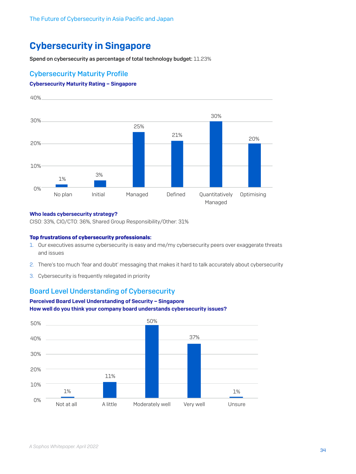# <span id="page-33-0"></span>Cybersecurity in Singapore

Spend on cybersecurity as percentage of total technology budget: 11.23%

## Cybersecurity Maturity Profile

#### Cybersecurity Maturity Rating – Singapore



#### Who leads cybersecurity strategy?

CISO: 33%, CIO/CTO: 36%, Shared Group Responsibility/Other: 31%

#### Top frustrations of cybersecurity professionals:

- 1. Our executives assume cybersecurity is easy and me/my cybersecurity peers over exaggerate threats and issues
- 2. There's too much 'fear and doubt' messaging that makes it hard to talk accurately about cybersecurity
- 3. Cybersecurity is frequently relegated in priority

### Board Level Understanding of Cybersecurity

#### Perceived Board Level Understanding of Security – Singapore How well do you think your company board understands cybersecurity issues?

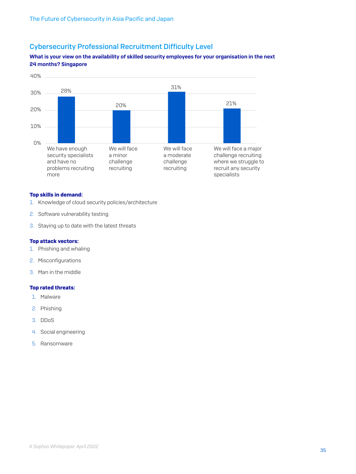# Cybersecurity Professional Recruitment Difficulty Level

### What is your view on the availability of skilled security employees for your organisation in the next 24 months? Singapore



#### Top skills in demand:

- 1. Knowledge of cloud security policies/architecture
- 2. Software vulnerability testing
- 3. Staying up to date with the latest threats

#### Top attack vectors:

- 1. Phishing and whaling
- 2. Misconfigurations
- 3. Man in the middle

#### Top rated threats:

- 1. Malware
- 2. Phishing
- 3. DDoS
- 4. Social engineering
- 5. Ransomware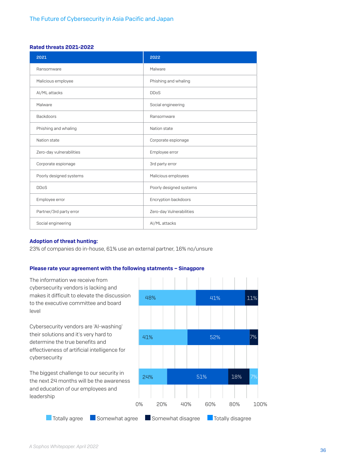#### Rated threats 2021-2022

| 2021                     | 2022                     |
|--------------------------|--------------------------|
| Ransomware               | Malware                  |
| Malicious employee       | Phishing and whaling     |
| AI/ML attacks            | <b>DDoS</b>              |
| Malware                  | Social engineering       |
| <b>Backdoors</b>         | Ransomware               |
| Phishing and whaling     | Nation state             |
| Nation state             | Corporate espionage      |
| Zero-day vulnerabilities | Employee error           |
| Corporate espionage      | 3rd party error          |
| Poorly designed systems  | Malicious employees      |
| <b>DDoS</b>              | Poorly designed systems  |
| Employee error           | Encryption backdoors     |
| Partner/3rd party error  | Zero-day Vulnerabilities |
| Social engineering       | AI/ML attacks            |

#### Adoption of threat hunting:

23% of companies do in-house, 61% use an external partner, 16% no/unsure

#### Please rate your agreement with the following statments – Sinagpore

The information we receive from cybersecurity vendors is lacking and makes it difficult to elevate the discussion to the executive committee and board level

Cybersecurity vendors are 'AI-washing' their solutions and it's very hard to determine the true benefits and effectiveness of artificial intelligence for cybersecurity

The biggest challenge to our security in the next 24 months will be the awareness and education of our employees and leadership

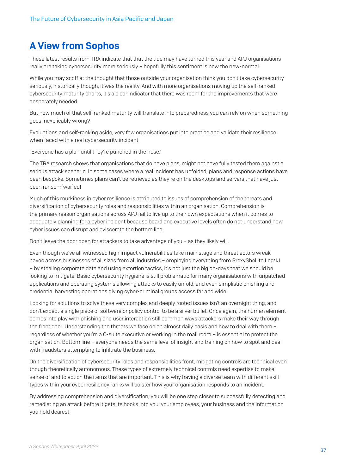# <span id="page-36-0"></span>A View from Sophos

These latest results from TRA indicate that that the tide may have turned this year and APJ organisations really are taking cybersecurity more seriously – hopefully this sentiment is now the new-normal.

While you may scoff at the thought that those outside your organisation think you don't take cybersecurity seriously, historically though, it was the reality. And with more organisations moving up the self-ranked cybersecurity maturity charts, it's a clear indicator that there was room for the improvements that were desperately needed.

But how much of that self-ranked maturity will translate into preparedness you can rely on when something goes inexplicably wrong?

Evaluations and self-ranking aside, very few organisations put into practice and validate their resilience when faced with a real cybersecurity incident.

"Everyone has a plan until they're punched in the nose."

The TRA research shows that organisations that do have plans, might not have fully tested them against a serious attack scenario. In some cases where a real incident has unfolded, plans and response actions have been bespoke. Sometimes plans can't be retrieved as they're on the desktops and servers that have just been ransom(war)ed!

Much of this murkiness in cyber resilience is attributed to issues of comprehension of the threats and diversification of cybersecurity roles and responsibilities within an organisation. Comprehension is the primary reason organisations across APJ fail to live up to their own expectations when it comes to adequately planning for a cyber incident because board and executive levels often do not understand how cyber issues can disrupt and eviscerate the bottom line.

Don't leave the door open for attackers to take advantage of you – as they likely will.

Even though we've all witnessed high impact vulnerabilities take main stage and threat actors wreak havoc across businesses of all sizes from all industries – employing everything from ProxyShell to Log4J – by stealing corporate data and using extortion tactics, it's not just the big oh-days that we should be looking to mitigate. Basic cybersecurity hygiene is still problematic for many organisations with unpatched applications and operating systems allowing attacks to easily unfold, and even simplistic phishing and credential harvesting operations giving cyber-criminal groups access far and wide.

Looking for solutions to solve these very complex and deeply rooted issues isn't an overnight thing, and don't expect a single piece of software or policy control to be a silver bullet. Once again, the human element comes into play with phishing and user interaction still common ways attackers make their way through the front door. Understanding the threats we face on an almost daily basis and how to deal with them – regardless of whether you're a C-suite executive or working in the mail room – is essential to protect the organisation. Bottom line – everyone needs the same level of insight and training on how to spot and deal with fraudsters attempting to infiltrate the business.

On the diversification of cybersecurity roles and responsibilities front, mitigating controls are technical even though theoretically autonomous. These types of extremely technical controls need expertise to make sense of and to action the items that are important. This is why having a diverse team with different skill types within your cyber resiliency ranks will bolster how your organisation responds to an incident.

By addressing comprehension and diversification, you will be one step closer to successfully detecting and remediating an attack before it gets its hooks into you, your employees, your business and the information you hold dearest.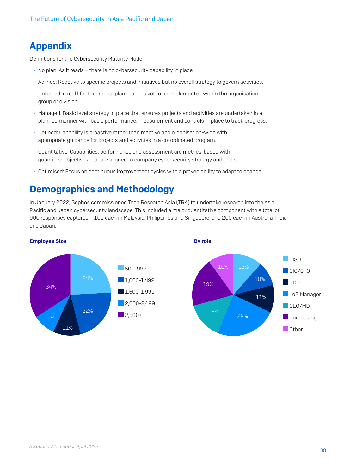# <span id="page-37-0"></span>Appendix

Definitions for the Cybersecurity Maturity Model:

- $\rightarrow$  No plan: As it reads there is no cybersecurity capability in place.
- ▶ Ad-hoc: Reactive to specific projects and initiatives but no overall strategy to govern activities.
- **I** Untested in real life: Theoretical plan that has yet to be implemented within the organisation, group or division.
- **Managed: Basic level strategy in place that ensures projects and activities are undertaken in a** planned manner with basic performance, measurement and controls in place to track progress.
- $\rightarrow$  Defined: Capability is proactive rather than reactive and organisation-wide with appropriate guidance for projects and activities in a co-ordinated program.
- Ì Quantitative: Capabilities, performance and assessment are metrics-based with quantified objectives that are aligned to company cybersecurity strategy and goals.
- **Optimised: Focus on continuous improvement cycles with a proven ability to adapt to change.**

# Demographics and Methodology

In January 2022, Sophos commissioned Tech Research Asia (TRA) to undertake research into the Asia Pacific and Japan cybersecurity landscape. This included a major quantitative component with a total of 900 responses captured – 100 each in Malaysia, Philippines and Singapore, and 200 each in Australia, India and Japan.



By role

#### Employee Size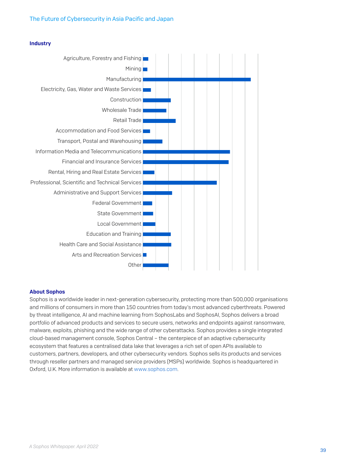

#### **Industry**

#### About Sophos

Sophos is a worldwide leader in next-generation cybersecurity, protecting more than 500,000 organisations and millions of consumers in more than 150 countries from today's most advanced cyberthreats. Powered by threat intelligence, AI and machine learning from SophosLabs and SophosAI, Sophos delivers a broad portfolio of advanced products and services to secure users, networks and endpoints against ransomware, malware, exploits, phishing and the wide range of other cyberattacks. Sophos provides a single integrated cloud-based management console, Sophos Central – the centerpiece of an adaptive cybersecurity ecosystem that features a centralised data lake that leverages a rich set of open APIs available to customers, partners, developers, and other cybersecurity vendors. Sophos sells its products and services through reseller partners and managed service providers (MSPs) worldwide. Sophos is headquartered in Oxford, U.K. More information is available at [www.sophos.com.](http://www.sophos.com)